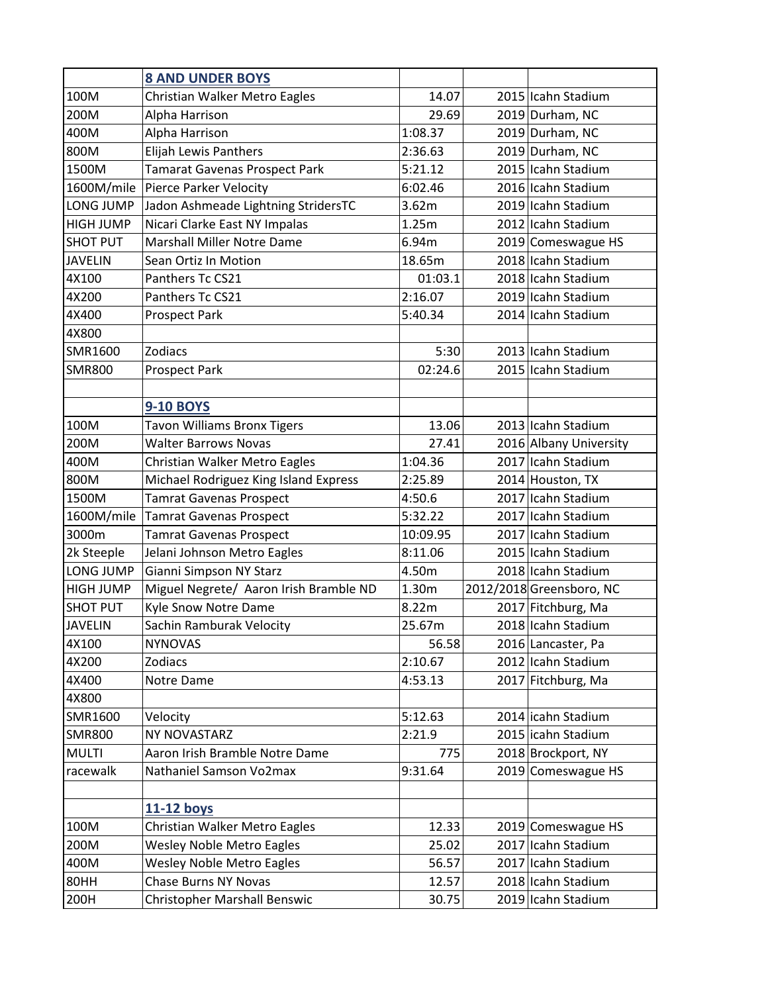|                  | <b>8 AND UNDER BOYS</b>                |          |                          |
|------------------|----------------------------------------|----------|--------------------------|
| 100M             | Christian Walker Metro Eagles          | 14.07    | 2015 Icahn Stadium       |
| 200M             | Alpha Harrison                         | 29.69    | 2019 Durham, NC          |
| 400M             | Alpha Harrison                         | 1:08.37  | 2019 Durham, NC          |
| 800M             | <b>Elijah Lewis Panthers</b>           | 2:36.63  | 2019 Durham, NC          |
| 1500M            | <b>Tamarat Gavenas Prospect Park</b>   | 5:21.12  | 2015 Icahn Stadium       |
|                  | 1600M/mile Pierce Parker Velocity      | 6:02.46  | 2016 Icahn Stadium       |
| LONG JUMP        | Jadon Ashmeade Lightning StridersTC    | 3.62m    | 2019 Icahn Stadium       |
| <b>HIGH JUMP</b> | Nicari Clarke East NY Impalas          | 1.25m    | 2012 Icahn Stadium       |
| <b>SHOT PUT</b>  | <b>Marshall Miller Notre Dame</b>      | 6.94m    | 2019 Comeswague HS       |
| <b>JAVELIN</b>   | Sean Ortiz In Motion                   | 18.65m   | 2018 Icahn Stadium       |
| 4X100            | Panthers Tc CS21                       | 01:03.1  | 2018 Icahn Stadium       |
| 4X200            | Panthers Tc CS21                       | 2:16.07  | 2019 Icahn Stadium       |
| 4X400            | <b>Prospect Park</b>                   | 5:40.34  | 2014 Icahn Stadium       |
| 4X800            |                                        |          |                          |
| SMR1600          | Zodiacs                                | 5:30     | 2013 Icahn Stadium       |
| <b>SMR800</b>    | <b>Prospect Park</b>                   | 02:24.6  | 2015 Icahn Stadium       |
|                  |                                        |          |                          |
|                  | <b>9-10 BOYS</b>                       |          |                          |
| 100M             | <b>Tavon Williams Bronx Tigers</b>     | 13.06    | 2013 Icahn Stadium       |
| 200M             | <b>Walter Barrows Novas</b>            | 27.41    | 2016 Albany University   |
| 400M             | Christian Walker Metro Eagles          | 1:04.36  | 2017 Icahn Stadium       |
| 800M             | Michael Rodriguez King Island Express  | 2:25.89  | 2014 Houston, TX         |
| 1500M            | <b>Tamrat Gavenas Prospect</b>         | 4:50.6   | 2017 Icahn Stadium       |
| 1600M/mile       | <b>Tamrat Gavenas Prospect</b>         | 5:32.22  | 2017 Icahn Stadium       |
| 3000m            | <b>Tamrat Gavenas Prospect</b>         | 10:09.95 | 2017 Icahn Stadium       |
| 2k Steeple       | Jelani Johnson Metro Eagles            | 8:11.06  | 2015 Icahn Stadium       |
| LONG JUMP        | Gianni Simpson NY Starz                | 4.50m    | 2018 Icahn Stadium       |
| <b>HIGH JUMP</b> | Miguel Negrete/ Aaron Irish Bramble ND | 1.30m    | 2012/2018 Greensboro, NC |
| <b>SHOT PUT</b>  | Kyle Snow Notre Dame                   | 8.22m    | 2017 Fitchburg, Ma       |
| <b>JAVELIN</b>   | Sachin Ramburak Velocity               | 25.67m   | 2018 Icahn Stadium       |
| 4X100            | <b>NYNOVAS</b>                         | 56.58    | 2016 Lancaster, Pa       |
| 4X200            | Zodiacs                                | 2:10.67  | 2012 Icahn Stadium       |
| 4X400            | Notre Dame                             | 4:53.13  | 2017 Fitchburg, Ma       |
| 4X800            |                                        |          |                          |
| SMR1600          | Velocity                               | 5:12.63  | 2014 icahn Stadium       |
| <b>SMR800</b>    | NY NOVASTARZ                           | 2:21.9   | 2015 icahn Stadium       |
| <b>MULTI</b>     | Aaron Irish Bramble Notre Dame         | 775      | 2018 Brockport, NY       |
| racewalk         | Nathaniel Samson Vo2max                | 9:31.64  | 2019 Comeswague HS       |
|                  |                                        |          |                          |
|                  | 11-12 boys                             |          |                          |
| 100M             | Christian Walker Metro Eagles          | 12.33    | 2019 Comeswague HS       |
| 200M             | <b>Wesley Noble Metro Eagles</b>       | 25.02    | 2017 Icahn Stadium       |
| 400M             | <b>Wesley Noble Metro Eagles</b>       | 56.57    | 2017 Icahn Stadium       |
| 80HH             | <b>Chase Burns NY Novas</b>            | 12.57    | 2018 Icahn Stadium       |
| 200H             | <b>Christopher Marshall Benswic</b>    | 30.75    | 2019 Icahn Stadium       |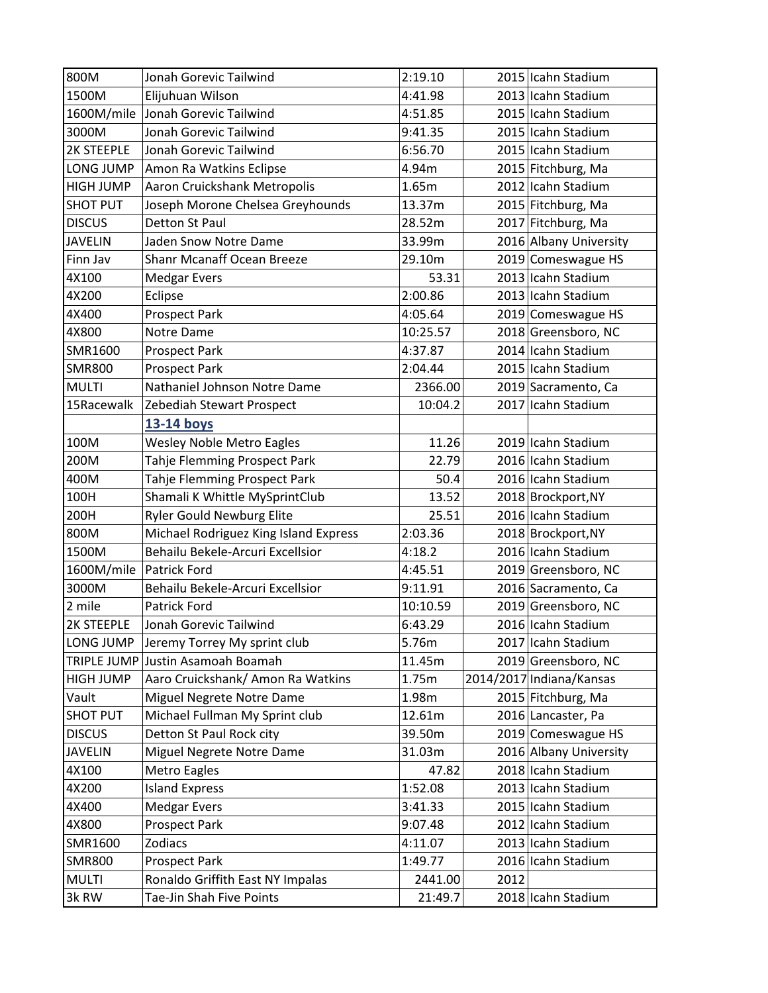| 800M                    | Jonah Gorevic Tailwind                | 2:19.10  |      | 2015 Icahn Stadium       |
|-------------------------|---------------------------------------|----------|------|--------------------------|
| 1500M                   | Elijuhuan Wilson                      | 4:41.98  |      | 2013 Icahn Stadium       |
| 1600M/mile              | Jonah Gorevic Tailwind                | 4:51.85  |      | 2015 Icahn Stadium       |
| 3000M                   | Jonah Gorevic Tailwind                | 9:41.35  |      | 2015 Icahn Stadium       |
| 2K STEEPLE              | Jonah Gorevic Tailwind                | 6:56.70  |      | 2015 Icahn Stadium       |
| LONG JUMP               | Amon Ra Watkins Eclipse               | 4.94m    |      | 2015 Fitchburg, Ma       |
| <b>HIGH JUMP</b>        | Aaron Cruickshank Metropolis          | 1.65m    |      | 2012 Icahn Stadium       |
| <b>SHOT PUT</b>         | Joseph Morone Chelsea Greyhounds      | 13.37m   |      | 2015 Fitchburg, Ma       |
| <b>DISCUS</b>           | Detton St Paul                        | 28.52m   |      | 2017 Fitchburg, Ma       |
| <b>JAVELIN</b>          | Jaden Snow Notre Dame                 | 33.99m   |      | 2016 Albany University   |
| Finn Jav                | <b>Shanr Mcanaff Ocean Breeze</b>     | 29.10m   |      | 2019 Comeswague HS       |
| 4X100                   | <b>Medgar Evers</b>                   | 53.31    |      | 2013 Icahn Stadium       |
| 4X200                   | Eclipse                               | 2:00.86  |      | 2013 Icahn Stadium       |
| 4X400                   | <b>Prospect Park</b>                  | 4:05.64  |      | 2019 Comeswague HS       |
| 4X800                   | Notre Dame                            | 10:25.57 |      | 2018 Greensboro, NC      |
| SMR1600                 | <b>Prospect Park</b>                  | 4:37.87  |      | 2014 Icahn Stadium       |
| <b>SMR800</b>           | <b>Prospect Park</b>                  | 2:04.44  |      | 2015 Icahn Stadium       |
| <b>MULTI</b>            | Nathaniel Johnson Notre Dame          | 2366.00  |      | 2019 Sacramento, Ca      |
| 15Racewalk              | Zebediah Stewart Prospect             | 10:04.2  |      | 2017 Icahn Stadium       |
|                         | 13-14 boys                            |          |      |                          |
| 100M                    | <b>Wesley Noble Metro Eagles</b>      | 11.26    |      | 2019 Icahn Stadium       |
| 200M                    | Tahje Flemming Prospect Park          | 22.79    |      | 2016 Icahn Stadium       |
| 400M                    | Tahje Flemming Prospect Park          | 50.4     |      | 2016 Icahn Stadium       |
| 100H                    | Shamali K Whittle MySprintClub        | 13.52    |      | 2018 Brockport, NY       |
| 200H                    | <b>Ryler Gould Newburg Elite</b>      | 25.51    |      | 2016 Icahn Stadium       |
| 800M                    | Michael Rodriguez King Island Express | 2:03.36  |      | 2018 Brockport, NY       |
| 1500M                   | Behailu Bekele-Arcuri Excellsior      | 4:18.2   |      | 2016 Icahn Stadium       |
| 1600M/mile Patrick Ford |                                       | 4:45.51  |      | 2019 Greensboro, NC      |
| 3000M                   | Behailu Bekele-Arcuri Excellsior      | 9:11.91  |      | 2016 Sacramento, Ca      |
| 2 mile                  | <b>Patrick Ford</b>                   | 10:10.59 |      | 2019 Greensboro, NC      |
| <b>2K STEEPLE</b>       | Jonah Gorevic Tailwind                | 6:43.29  |      | 2016 Icahn Stadium       |
| LONG JUMP               | Jeremy Torrey My sprint club          | 5.76m    |      | 2017 Icahn Stadium       |
|                         | TRIPLE JUMP Justin Asamoah Boamah     | 11.45m   |      | 2019 Greensboro, NC      |
| <b>HIGH JUMP</b>        | Aaro Cruickshank/ Amon Ra Watkins     | 1.75m    |      | 2014/2017 Indiana/Kansas |
| Vault                   | Miguel Negrete Notre Dame             | 1.98m    |      | 2015 Fitchburg, Ma       |
| <b>SHOT PUT</b>         | Michael Fullman My Sprint club        | 12.61m   |      | 2016 Lancaster, Pa       |
| <b>DISCUS</b>           | Detton St Paul Rock city              | 39.50m   |      | 2019 Comeswague HS       |
| <b>JAVELIN</b>          | Miguel Negrete Notre Dame             | 31.03m   |      | 2016 Albany University   |
| 4X100                   | Metro Eagles                          | 47.82    |      | 2018 Icahn Stadium       |
| 4X200                   | <b>Island Express</b>                 | 1:52.08  |      | 2013 Icahn Stadium       |
| 4X400                   | <b>Medgar Evers</b>                   | 3:41.33  |      | 2015 Icahn Stadium       |
| 4X800                   | <b>Prospect Park</b>                  | 9:07.48  |      | 2012 Icahn Stadium       |
| SMR1600                 | Zodiacs                               | 4:11.07  |      | 2013 Icahn Stadium       |
| <b>SMR800</b>           | <b>Prospect Park</b>                  | 1:49.77  |      | 2016 Icahn Stadium       |
| <b>MULTI</b>            | Ronaldo Griffith East NY Impalas      | 2441.00  | 2012 |                          |
| 3k RW                   | Tae-Jin Shah Five Points              | 21:49.7  |      | 2018 Icahn Stadium       |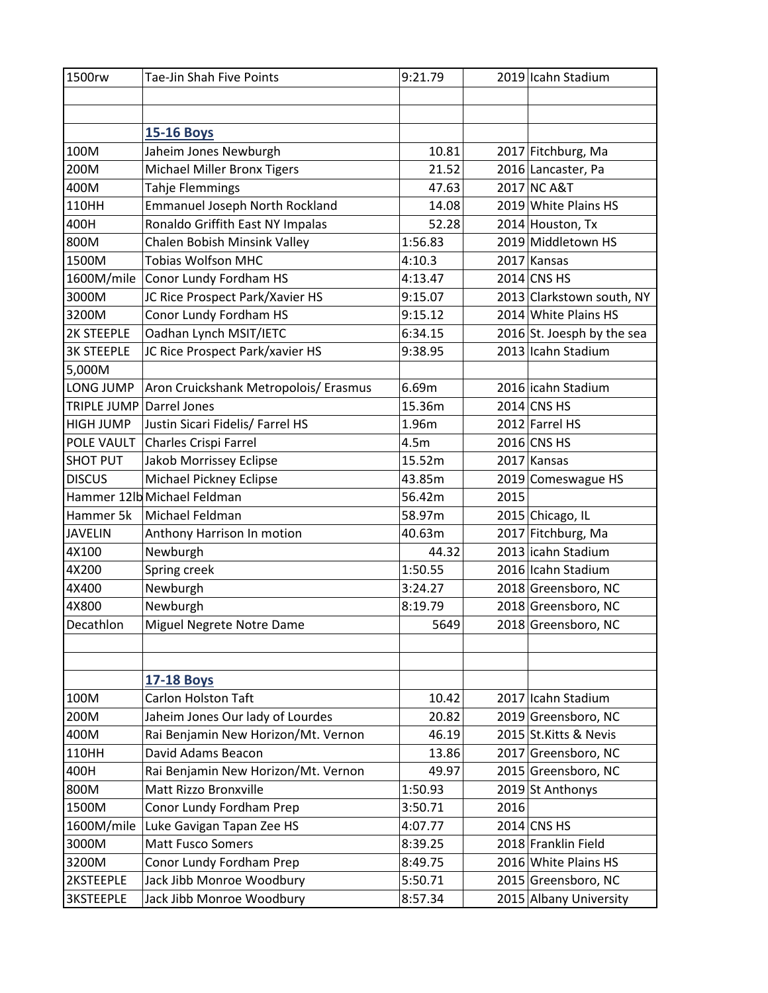| 1500rw                   | Tae-Jin Shah Five Points              | 9:21.79 |      | 2019 Icahn Stadium         |
|--------------------------|---------------------------------------|---------|------|----------------------------|
|                          |                                       |         |      |                            |
|                          |                                       |         |      |                            |
|                          | <b>15-16 Boys</b>                     |         |      |                            |
| 100M                     | Jaheim Jones Newburgh                 | 10.81   |      | 2017 Fitchburg, Ma         |
| 200M                     | <b>Michael Miller Bronx Tigers</b>    | 21.52   |      | 2016 Lancaster, Pa         |
| 400M                     | <b>Tahje Flemmings</b>                | 47.63   |      | 2017 NC A&T                |
| 110HH                    | <b>Emmanuel Joseph North Rockland</b> | 14.08   |      | 2019 White Plains HS       |
| 400H                     | Ronaldo Griffith East NY Impalas      | 52.28   |      | 2014 Houston, Tx           |
| 800M                     | Chalen Bobish Minsink Valley          | 1:56.83 |      | 2019 Middletown HS         |
| 1500M                    | <b>Tobias Wolfson MHC</b>             | 4:10.3  |      | 2017 Kansas                |
| 1600M/mile               | Conor Lundy Fordham HS                | 4:13.47 |      | $2014$ CNS HS              |
| 3000M                    | JC Rice Prospect Park/Xavier HS       | 9:15.07 |      | 2013 Clarkstown south, NY  |
| 3200M                    | Conor Lundy Fordham HS                | 9:15.12 |      | 2014 White Plains HS       |
| 2K STEEPLE               | Oadhan Lynch MSIT/IETC                | 6:34.15 |      | 2016 St. Joesph by the sea |
| <b>3K STEEPLE</b>        | JC Rice Prospect Park/xavier HS       | 9:38.95 |      | 2013 Icahn Stadium         |
| 5,000M                   |                                       |         |      |                            |
| LONG JUMP                | Aron Cruickshank Metropolois/ Erasmus | 6.69m   |      | 2016 icahn Stadium         |
| TRIPLE JUMP Darrel Jones |                                       | 15.36m  |      | 2014 CNS HS                |
| HIGH JUMP                | Justin Sicari Fidelis/ Farrel HS      | 1.96m   |      | 2012 Farrel HS             |
| POLE VAULT               | Charles Crispi Farrel                 | 4.5m    |      | 2016 CNS HS                |
| <b>SHOT PUT</b>          | Jakob Morrissey Eclipse               | 15.52m  |      | 2017 Kansas                |
| <b>DISCUS</b>            | Michael Pickney Eclipse               | 43.85m  |      | 2019 Comeswague HS         |
|                          | Hammer 12lb Michael Feldman           | 56.42m  | 2015 |                            |
| Hammer 5k                | Michael Feldman                       | 58.97m  |      | 2015 Chicago, IL           |
| <b>JAVELIN</b>           | Anthony Harrison In motion            | 40.63m  |      | 2017 Fitchburg, Ma         |
| 4X100                    | Newburgh                              | 44.32   |      | 2013 icahn Stadium         |
| 4X200                    | Spring creek                          | 1:50.55 |      | 2016 Icahn Stadium         |
| 4X400                    | Newburgh                              | 3:24.27 |      | 2018 Greensboro, NC        |
| 4X800                    | Newburgh                              | 8:19.79 |      | 2018 Greensboro, NC        |
| Decathlon                | Miguel Negrete Notre Dame             | 5649    |      | 2018 Greensboro, NC        |
|                          |                                       |         |      |                            |
|                          |                                       |         |      |                            |
|                          | <b>17-18 Boys</b>                     |         |      |                            |
| 100M                     | <b>Carlon Holston Taft</b>            | 10.42   |      | 2017 Icahn Stadium         |
| 200M                     | Jaheim Jones Our lady of Lourdes      | 20.82   |      | 2019 Greensboro, NC        |
| 400M                     | Rai Benjamin New Horizon/Mt. Vernon   | 46.19   |      | 2015 St.Kitts & Nevis      |
| 110HH                    | David Adams Beacon                    | 13.86   |      | 2017 Greensboro, NC        |
| 400H                     | Rai Benjamin New Horizon/Mt. Vernon   | 49.97   |      | 2015 Greensboro, NC        |
| 800M                     | Matt Rizzo Bronxville                 | 1:50.93 |      | 2019 St Anthonys           |
| 1500M                    | Conor Lundy Fordham Prep              | 3:50.71 | 2016 |                            |
| 1600M/mile               | Luke Gavigan Tapan Zee HS             | 4:07.77 |      | 2014 CNS HS                |
| 3000M                    | <b>Matt Fusco Somers</b>              | 8:39.25 |      | 2018 Franklin Field        |
| 3200M                    | Conor Lundy Fordham Prep              | 8:49.75 |      | 2016 White Plains HS       |
| 2KSTEEPLE                | Jack Jibb Monroe Woodbury             | 5:50.71 |      | 2015 Greensboro, NC        |
| <b>3KSTEEPLE</b>         | Jack Jibb Monroe Woodbury             | 8:57.34 |      | 2015 Albany University     |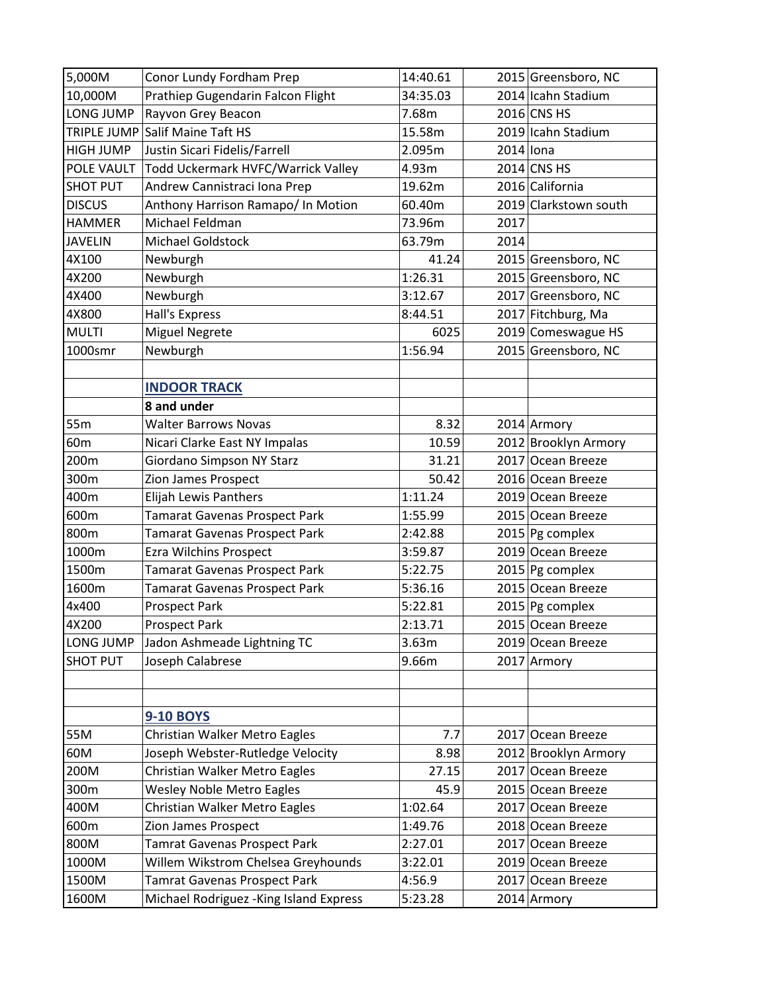| 5,000M           | Conor Lundy Fordham Prep                | 14:40.61 | 2015 Greensboro, NC   |
|------------------|-----------------------------------------|----------|-----------------------|
| 10,000M          | Prathiep Gugendarin Falcon Flight       | 34:35.03 | 2014 Icahn Stadium    |
| <b>LONG JUMP</b> | Rayvon Grey Beacon                      | 7.68m    | 2016 CNS HS           |
|                  | TRIPLE JUMP Salif Maine Taft HS         | 15.58m   | 2019 Icahn Stadium    |
| <b>HIGH JUMP</b> | Justin Sicari Fidelis/Farrell           | 2.095m   | $2014$ lona           |
| POLE VAULT       | Todd Uckermark HVFC/Warrick Valley      | 4.93m    | 2014 CNS HS           |
| <b>SHOT PUT</b>  | Andrew Cannistraci Iona Prep            | 19.62m   | 2016 California       |
| <b>DISCUS</b>    | Anthony Harrison Ramapo/ In Motion      | 60.40m   | 2019 Clarkstown south |
| <b>HAMMER</b>    | Michael Feldman                         | 73.96m   | 2017                  |
| <b>JAVELIN</b>   | <b>Michael Goldstock</b>                | 63.79m   | 2014                  |
| 4X100            | Newburgh                                | 41.24    | 2015 Greensboro, NC   |
| 4X200            | Newburgh                                | 1:26.31  | 2015 Greensboro, NC   |
| 4X400            | Newburgh                                | 3:12.67  | 2017 Greensboro, NC   |
| 4X800            | <b>Hall's Express</b>                   | 8:44.51  | 2017 Fitchburg, Ma    |
| <b>MULTI</b>     | <b>Miguel Negrete</b>                   | 6025     | 2019 Comeswague HS    |
| 1000smr          | Newburgh                                | 1:56.94  | 2015 Greensboro, NC   |
|                  |                                         |          |                       |
|                  | <b>INDOOR TRACK</b>                     |          |                       |
|                  | 8 and under                             |          |                       |
| 55m              | <b>Walter Barrows Novas</b>             | 8.32     | 2014 Armory           |
| 60 <sub>m</sub>  | Nicari Clarke East NY Impalas           | 10.59    | 2012 Brooklyn Armory  |
| 200m             | Giordano Simpson NY Starz               | 31.21    | 2017 Ocean Breeze     |
| 300m             | Zion James Prospect                     | 50.42    | 2016 Ocean Breeze     |
| 400m             | Elijah Lewis Panthers                   | 1:11.24  | 2019 Ocean Breeze     |
| 600m             | <b>Tamarat Gavenas Prospect Park</b>    | 1:55.99  | 2015 Ocean Breeze     |
| 800m             | <b>Tamarat Gavenas Prospect Park</b>    | 2:42.88  | $2015$ Pg complex     |
| 1000m            | Ezra Wilchins Prospect                  | 3:59.87  | 2019 Ocean Breeze     |
| 1500m            | <b>Tamarat Gavenas Prospect Park</b>    | 5:22.75  | $2015$ Pg complex     |
| 1600m            | <b>Tamarat Gavenas Prospect Park</b>    | 5:36.16  | 2015 Ocean Breeze     |
| 4x400            | <b>Prospect Park</b>                    | 5:22.81  | 2015 Pg complex       |
| 4X200            | <b>Prospect Park</b>                    | 2:13.71  | 2015 Ocean Breeze     |
| LONG JUMP        | Jadon Ashmeade Lightning TC             | 3.63m    | 2019 Ocean Breeze     |
| <b>SHOT PUT</b>  | Joseph Calabrese                        | 9.66m    | 2017 Armory           |
|                  |                                         |          |                       |
|                  |                                         |          |                       |
|                  | <b>9-10 BOYS</b>                        |          |                       |
| 55M              | Christian Walker Metro Eagles           | 7.7      | 2017 Ocean Breeze     |
| 60M              | Joseph Webster-Rutledge Velocity        | 8.98     | 2012 Brooklyn Armory  |
| 200M             | Christian Walker Metro Eagles           | 27.15    | 2017 Ocean Breeze     |
| 300m             | <b>Wesley Noble Metro Eagles</b>        | 45.9     | 2015 Ocean Breeze     |
| 400M             | Christian Walker Metro Eagles           | 1:02.64  | 2017 Ocean Breeze     |
| 600m             | Zion James Prospect                     | 1:49.76  | 2018 Ocean Breeze     |
| 800M             | <b>Tamrat Gavenas Prospect Park</b>     | 2:27.01  | 2017 Ocean Breeze     |
| 1000M            | Willem Wikstrom Chelsea Greyhounds      | 3:22.01  | 2019 Ocean Breeze     |
| 1500M            | <b>Tamrat Gavenas Prospect Park</b>     | 4:56.9   | 2017 Ocean Breeze     |
| 1600M            | Michael Rodriguez - King Island Express | 5:23.28  | 2014 Armory           |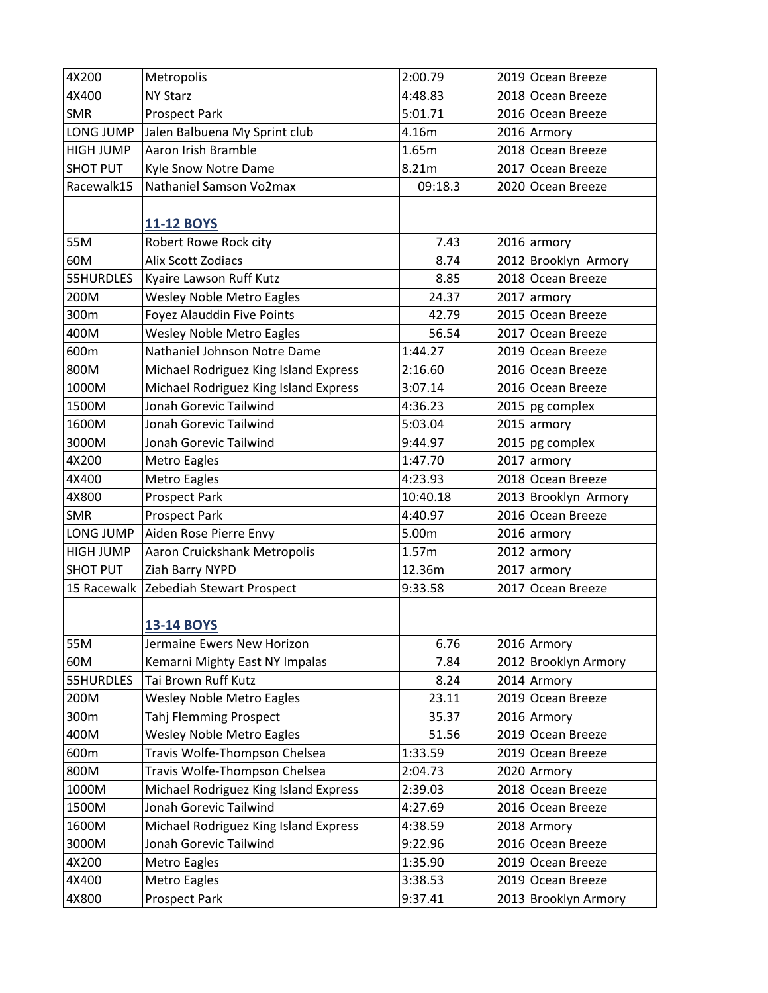| 4X200           | Metropolis                            | 2:00.79  | 2019 Ocean Breeze    |
|-----------------|---------------------------------------|----------|----------------------|
| 4X400           | <b>NY Starz</b>                       | 4:48.83  | 2018 Ocean Breeze    |
| <b>SMR</b>      | <b>Prospect Park</b>                  | 5:01.71  | 2016 Ocean Breeze    |
| LONG JUMP       | Jalen Balbuena My Sprint club         | 4.16m    | 2016 Armory          |
| HIGH JUMP       | Aaron Irish Bramble                   | 1.65m    | 2018 Ocean Breeze    |
| <b>SHOT PUT</b> | Kyle Snow Notre Dame                  | 8.21m    | 2017 Ocean Breeze    |
| Racewalk15      | Nathaniel Samson Vo2max               | 09:18.3  | 2020 Ocean Breeze    |
|                 |                                       |          |                      |
|                 | <b>11-12 BOYS</b>                     |          |                      |
| 55M             | Robert Rowe Rock city                 | 7.43     | $2016$ armory        |
| 60M             | Alix Scott Zodiacs                    | 8.74     | 2012 Brooklyn Armory |
| 55HURDLES       | Kyaire Lawson Ruff Kutz               | 8.85     | 2018 Ocean Breeze    |
| 200M            | <b>Wesley Noble Metro Eagles</b>      | 24.37    | $2017$ armory        |
| 300m            | Foyez Alauddin Five Points            | 42.79    | 2015 Ocean Breeze    |
| 400M            | <b>Wesley Noble Metro Eagles</b>      | 56.54    | 2017 Ocean Breeze    |
| 600m            | Nathaniel Johnson Notre Dame          | 1:44.27  | 2019 Ocean Breeze    |
| 800M            | Michael Rodriguez King Island Express | 2:16.60  | 2016 Ocean Breeze    |
| 1000M           | Michael Rodriguez King Island Express | 3:07.14  | 2016 Ocean Breeze    |
| 1500M           | Jonah Gorevic Tailwind                | 4:36.23  | $2015$ pg complex    |
| 1600M           | Jonah Gorevic Tailwind                | 5:03.04  | $2015$ armory        |
| 3000M           | Jonah Gorevic Tailwind                | 9:44.97  | 2015 pg complex      |
| 4X200           | Metro Eagles                          | 1:47.70  | $2017$ armory        |
| 4X400           | Metro Eagles                          | 4:23.93  | 2018 Ocean Breeze    |
| 4X800           | <b>Prospect Park</b>                  | 10:40.18 | 2013 Brooklyn Armory |
| <b>SMR</b>      | <b>Prospect Park</b>                  | 4:40.97  | 2016 Ocean Breeze    |
| LONG JUMP       | Aiden Rose Pierre Envy                | 5.00m    | $2016$ armory        |
| HIGH JUMP       | Aaron Cruickshank Metropolis          | 1.57m    | $2012$ armory        |
| <b>SHOT PUT</b> | Ziah Barry NYPD                       | 12.36m   | 2017 armory          |
| 15 Racewalk     | Zebediah Stewart Prospect             | 9:33.58  | 2017 Ocean Breeze    |
|                 |                                       |          |                      |
|                 | <b>13-14 BOYS</b>                     |          |                      |
| 55M             | Jermaine Ewers New Horizon            | 6.76     | 2016 Armory          |
| 60M             | Kemarni Mighty East NY Impalas        | 7.84     | 2012 Brooklyn Armory |
| 55HURDLES       | Tai Brown Ruff Kutz                   | 8.24     | 2014 Armory          |
| 200M            | <b>Wesley Noble Metro Eagles</b>      | 23.11    | 2019 Ocean Breeze    |
| 300m            | Tahj Flemming Prospect                | 35.37    | 2016 Armory          |
| 400M            | <b>Wesley Noble Metro Eagles</b>      | 51.56    | 2019 Ocean Breeze    |
| 600m            | Travis Wolfe-Thompson Chelsea         | 1:33.59  | 2019 Ocean Breeze    |
| 800M            | Travis Wolfe-Thompson Chelsea         | 2:04.73  | 2020 Armory          |
| 1000M           | Michael Rodriguez King Island Express | 2:39.03  | 2018 Ocean Breeze    |
| 1500M           | Jonah Gorevic Tailwind                | 4:27.69  | 2016 Ocean Breeze    |
| 1600M           | Michael Rodriguez King Island Express | 4:38.59  | 2018 Armory          |
| 3000M           | Jonah Gorevic Tailwind                | 9:22.96  | 2016 Ocean Breeze    |
| 4X200           | Metro Eagles                          | 1:35.90  | 2019 Ocean Breeze    |
| 4X400           | Metro Eagles                          | 3:38.53  | 2019 Ocean Breeze    |
| 4X800           | Prospect Park                         | 9:37.41  | 2013 Brooklyn Armory |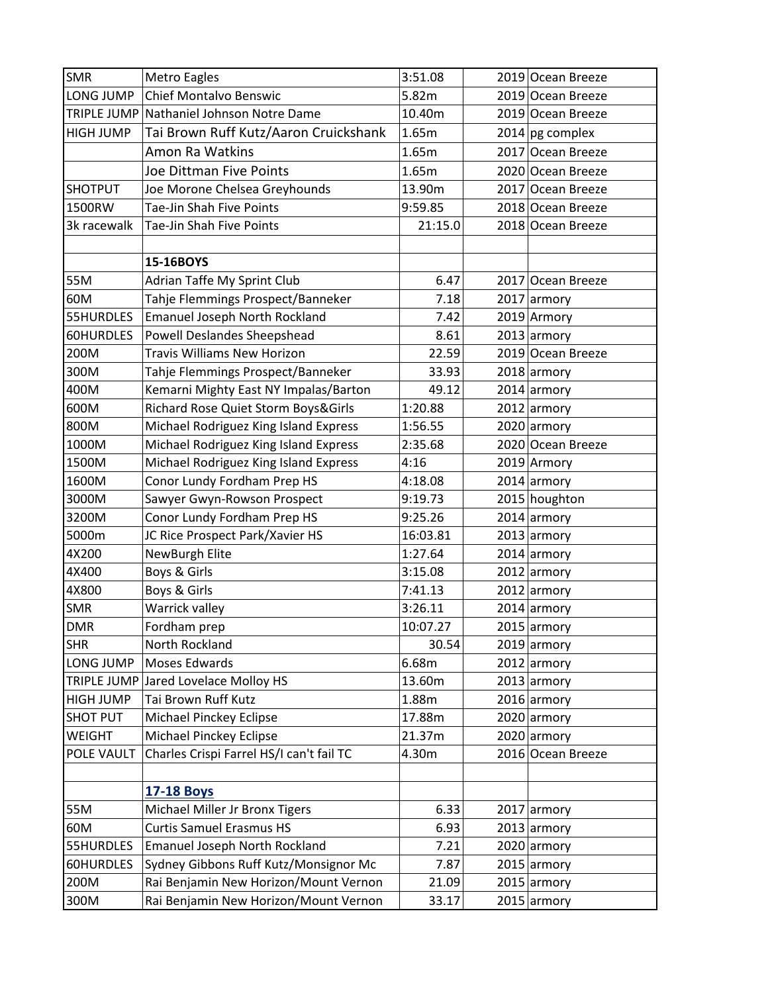| <b>SMR</b>       | <b>Metro Eagles</b>                      | 3:51.08  | 2019 Ocean Breeze |
|------------------|------------------------------------------|----------|-------------------|
| LONG JUMP        | Chief Montalvo Benswic                   | 5.82m    | 2019 Ocean Breeze |
|                  | TRIPLE JUMP Nathaniel Johnson Notre Dame | 10.40m   | 2019 Ocean Breeze |
| <b>HIGH JUMP</b> | Tai Brown Ruff Kutz/Aaron Cruickshank    | 1.65m    | 2014 pg complex   |
|                  | Amon Ra Watkins                          | 1.65m    | 2017 Ocean Breeze |
|                  | Joe Dittman Five Points                  | 1.65m    | 2020 Ocean Breeze |
| <b>SHOTPUT</b>   | Joe Morone Chelsea Greyhounds            | 13.90m   | 2017 Ocean Breeze |
| 1500RW           | Tae-Jin Shah Five Points                 | 9:59.85  | 2018 Ocean Breeze |
| 3k racewalk      | Tae-Jin Shah Five Points                 | 21:15.0  | 2018 Ocean Breeze |
|                  |                                          |          |                   |
|                  | 15-16BOYS                                |          |                   |
| 55M              | Adrian Taffe My Sprint Club              | 6.47     | 2017 Ocean Breeze |
| 60M              | Tahje Flemmings Prospect/Banneker        | 7.18     | 2017 armory       |
| 55HURDLES        | <b>Emanuel Joseph North Rockland</b>     | 7.42     | 2019 Armory       |
| 60HURDLES        | <b>Powell Deslandes Sheepshead</b>       | 8.61     | $2013$ armory     |
| 200M             | <b>Travis Williams New Horizon</b>       | 22.59    | 2019 Ocean Breeze |
| 300M             | Tahje Flemmings Prospect/Banneker        | 33.93    | 2018 armory       |
| 400M             | Kemarni Mighty East NY Impalas/Barton    | 49.12    | $2014$ armory     |
| 600M             | Richard Rose Quiet Storm Boys&Girls      | 1:20.88  | $2012$ armory     |
| 800M             | Michael Rodriguez King Island Express    | 1:56.55  | $2020$ armory     |
| 1000M            | Michael Rodriguez King Island Express    | 2:35.68  | 2020 Ocean Breeze |
| 1500M            | Michael Rodriguez King Island Express    | 4:16     | 2019 Armory       |
| 1600M            | Conor Lundy Fordham Prep HS              | 4:18.08  | 2014 armory       |
| 3000M            | Sawyer Gwyn-Rowson Prospect              | 9:19.73  | 2015 houghton     |
| 3200M            | Conor Lundy Fordham Prep HS              | 9:25.26  | $2014$ armory     |
| 5000m            | JC Rice Prospect Park/Xavier HS          | 16:03.81 | $2013$ armory     |
| 4X200            | NewBurgh Elite                           | 1:27.64  | $2014$ armory     |
| 4X400            | Boys & Girls                             | 3:15.08  | $2012$ armory     |
| 4X800            | Boys & Girls                             | 7:41.13  | 2012 armory       |
| SMR              | Warrick valley                           | 3:26.11  | $2014$ armory     |
| <b>DMR</b>       | Fordham prep                             | 10:07.27 | 2015 armory       |
| <b>SHR</b>       | North Rockland                           | 30.54    | $2019$ armory     |
| LONG JUMP        | Moses Edwards                            | 6.68m    | $2012$ armory     |
|                  | TRIPLE JUMP Jared Lovelace Molloy HS     | 13.60m   | $2013$ armory     |
| <b>HIGH JUMP</b> | Tai Brown Ruff Kutz                      | 1.88m    | $2016$ armory     |
| <b>SHOT PUT</b>  | Michael Pinckey Eclipse                  | 17.88m   | $2020$ armory     |
| WEIGHT           | <b>Michael Pinckey Eclipse</b>           | 21.37m   | 2020 armory       |
| POLE VAULT       | Charles Crispi Farrel HS/I can't fail TC | 4.30m    | 2016 Ocean Breeze |
|                  |                                          |          |                   |
|                  | <b>17-18 Boys</b>                        |          |                   |
| 55M              | Michael Miller Jr Bronx Tigers           | 6.33     | $2017$ armory     |
| 60M              | <b>Curtis Samuel Erasmus HS</b>          | 6.93     | $2013$ armory     |
| 55HURDLES        | <b>Emanuel Joseph North Rockland</b>     | 7.21     | $2020$ armory     |
| 60HURDLES        | Sydney Gibbons Ruff Kutz/Monsignor Mc    | 7.87     | $2015$ armory     |
| 200M             | Rai Benjamin New Horizon/Mount Vernon    | 21.09    | $2015$ armory     |
| 300M             | Rai Benjamin New Horizon/Mount Vernon    | 33.17    | $2015$ armory     |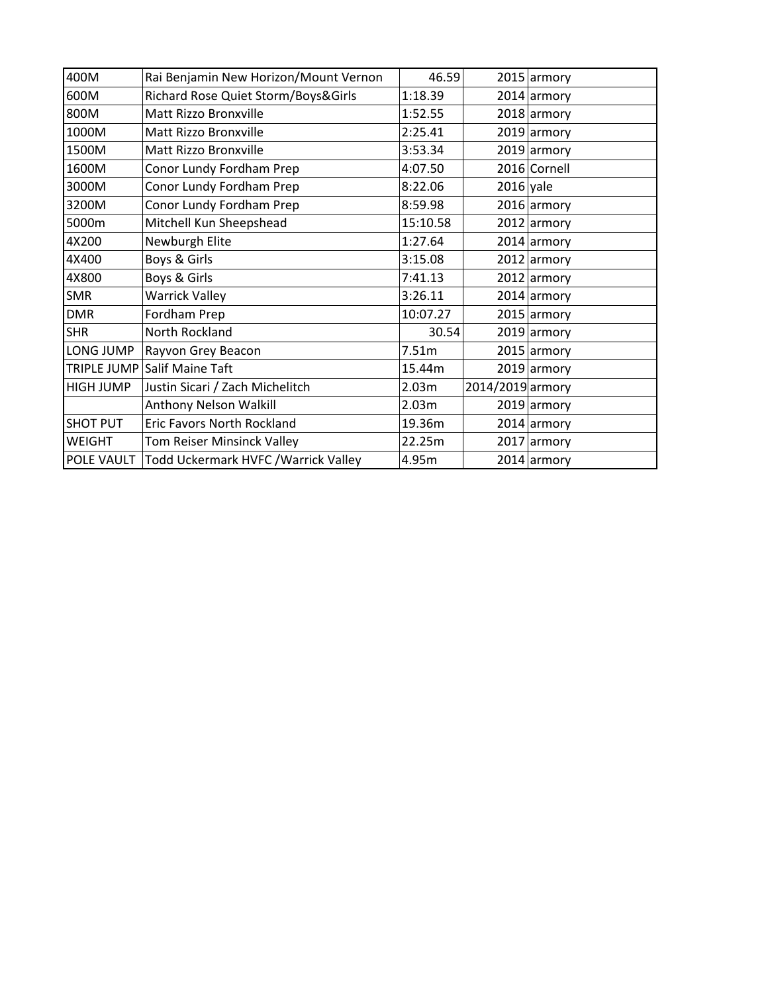| 400M             | Rai Benjamin New Horizon/Mount Vernon             | 46.59    |                  | $2015$ armory |
|------------------|---------------------------------------------------|----------|------------------|---------------|
| 600M             | Richard Rose Quiet Storm/Boys&Girls               | 1:18.39  |                  | 2014 armory   |
| 800M             | Matt Rizzo Bronxville                             | 1:52.55  |                  | $2018$ armory |
| 1000M            | Matt Rizzo Bronxville                             | 2:25.41  |                  | $2019$ armory |
| 1500M            | Matt Rizzo Bronxville                             | 3:53.34  |                  | $2019$ armory |
| 1600M            | Conor Lundy Fordham Prep                          | 4:07.50  |                  | 2016 Cornell  |
| 3000M            | Conor Lundy Fordham Prep                          | 8:22.06  | $2016$ yale      |               |
| 3200M            | Conor Lundy Fordham Prep                          | 8:59.98  |                  | $2016$ armory |
| 5000m            | Mitchell Kun Sheepshead                           | 15:10.58 |                  | 2012 armory   |
| 4X200            | Newburgh Elite                                    | 1:27.64  |                  | 2014 armory   |
| 4X400            | Boys & Girls                                      | 3:15.08  |                  | $2012$ armory |
| 4X800            | Boys & Girls                                      | 7:41.13  |                  | $2012$ armory |
| <b>SMR</b>       | <b>Warrick Valley</b>                             | 3:26.11  |                  | $2014$ armory |
| <b>DMR</b>       | Fordham Prep                                      | 10:07.27 |                  | $2015$ armory |
| <b>SHR</b>       | North Rockland                                    | 30.54    |                  | $2019$ armory |
| LONG JUMP        | Rayvon Grey Beacon                                | 7.51m    |                  | $2015$ armory |
|                  | TRIPLE JUMP Salif Maine Taft                      | 15.44m   |                  | 2019 armory   |
| <b>HIGH JUMP</b> | Justin Sicari / Zach Michelitch                   | 2.03m    | 2014/2019 armory |               |
|                  | Anthony Nelson Walkill                            | 2.03m    |                  | $2019$ armory |
| <b>SHOT PUT</b>  | <b>Eric Favors North Rockland</b>                 | 19.36m   |                  | $2014$ armory |
| <b>WEIGHT</b>    | Tom Reiser Minsinck Valley                        | 22.25m   |                  | 2017 armory   |
|                  | POLE VAULT   Todd Uckermark HVFC / Warrick Valley | 4.95m    |                  | $2014$ armory |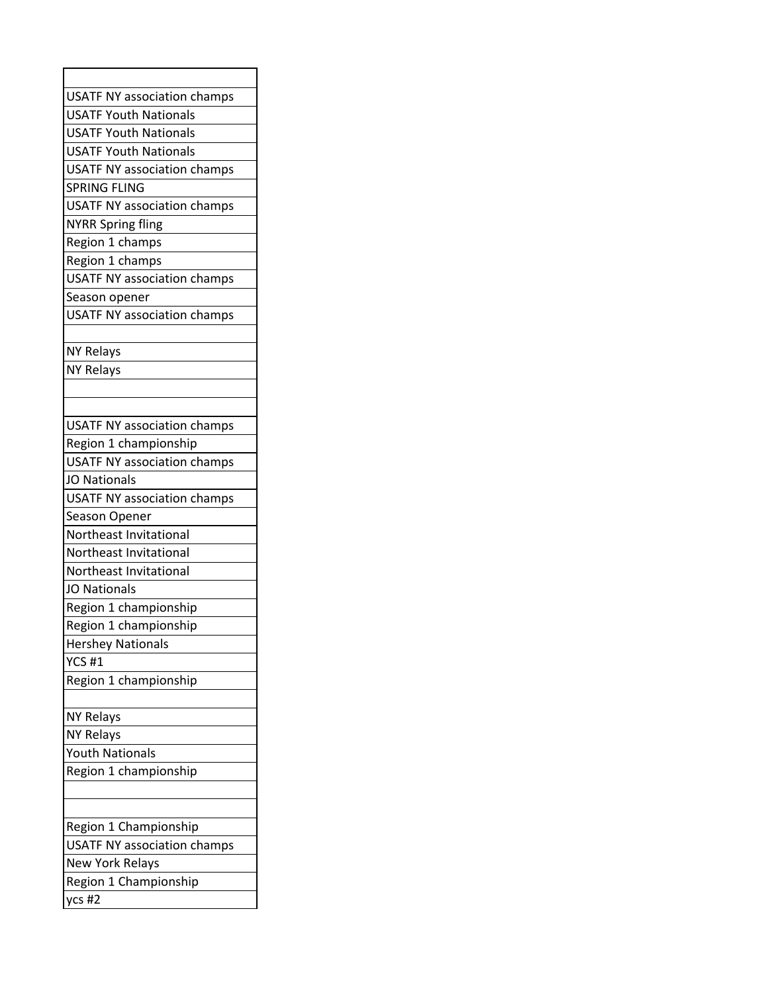| <b>USATF NY association champs</b> |
|------------------------------------|
| <b>USATF Youth Nationals</b>       |
| <b>USATF Youth Nationals</b>       |
| <b>USATF Youth Nationals</b>       |
| <b>USATF NY association champs</b> |
| <b>SPRING FLING</b>                |
| <b>USATF NY association champs</b> |
| <b>NYRR Spring fling</b>           |
| Region 1 champs                    |
| Region 1 champs                    |
| <b>USATF NY association champs</b> |
| Season opener                      |
| <b>USATF NY association champs</b> |
|                                    |
| <b>NY Relays</b>                   |
| <b>NY Relays</b>                   |
|                                    |
|                                    |
| USATF NY association champs        |
| Region 1 championship              |
| <b>USATF NY association champs</b> |
| <b>JO Nationals</b>                |
| <b>USATF NY association champs</b> |
| Season Opener                      |
| Northeast Invitational             |
| Northeast Invitational             |
| Northeast Invitational             |
| <b>JO Nationals</b>                |
| Region 1 championship              |
| Region 1 championship              |
| <b>Hershey Nationals</b>           |
| <b>YCS #1</b>                      |
| Region 1 championship              |
|                                    |
| <b>NY Relays</b>                   |
| <b>NY Relays</b>                   |
| <b>Youth Nationals</b>             |
| Region 1 championship              |
|                                    |
|                                    |
| Region 1 Championship              |
| <b>USATF NY association champs</b> |
| <b>New York Relays</b>             |
| Region 1 Championship              |
| ycs #2                             |
|                                    |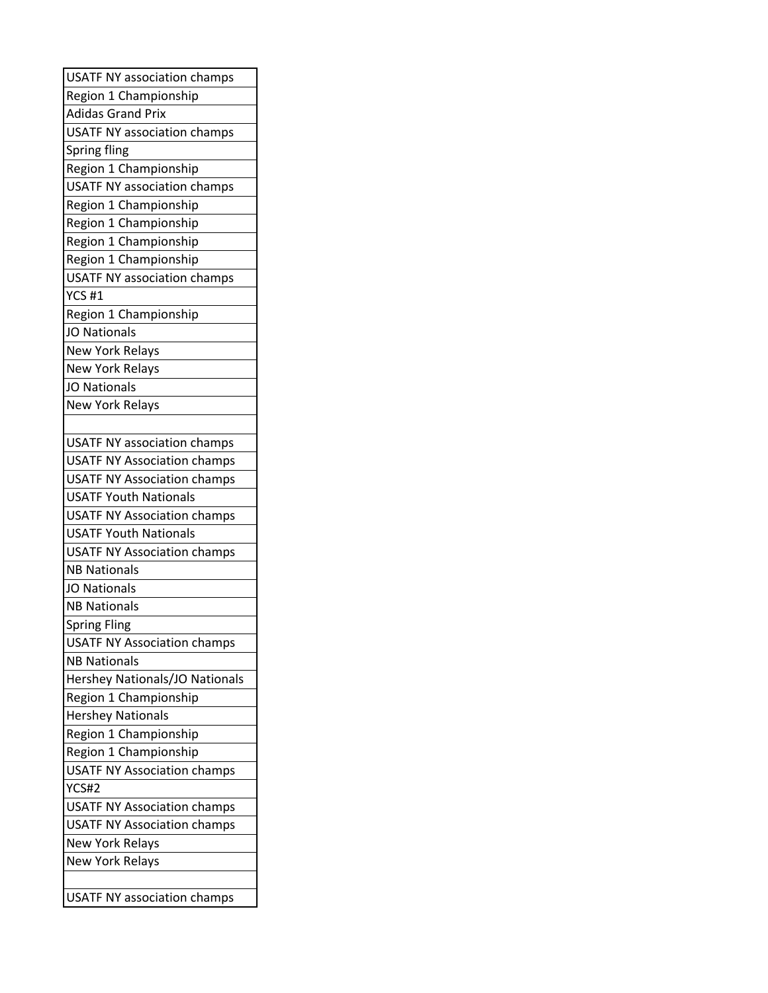| <b>USATF NY association champs</b> |
|------------------------------------|
| Region 1 Championship              |
| <b>Adidas Grand Prix</b>           |
| <b>USATF NY association champs</b> |
| <b>Spring fling</b>                |
| Region 1 Championship              |
| <b>USATF NY association champs</b> |
| Region 1 Championship              |
| Region 1 Championship              |
| Region 1 Championship              |
| Region 1 Championship              |
| <b>USATF NY association champs</b> |
| <b>YCS #1</b>                      |
| Region 1 Championship              |
| <b>JO Nationals</b>                |
| New York Relays                    |
| <b>New York Relays</b>             |
| <b>JO Nationals</b>                |
| <b>New York Relays</b>             |
|                                    |
| <b>USATF NY association champs</b> |
| <b>USATF NY Association champs</b> |
| <b>USATF NY Association champs</b> |
| <b>USATF Youth Nationals</b>       |
| <b>USATF NY Association champs</b> |
| <b>USATF Youth Nationals</b>       |
| <b>USATF NY Association champs</b> |
| <b>NB Nationals</b>                |
| <b>JO Nationals</b>                |
| <b>NB Nationals</b>                |
| <b>Spring Fling</b>                |
| <b>USATF NY Association champs</b> |
| <b>NB Nationals</b>                |
| Hershey Nationals/JO Nationals     |
| Region 1 Championship              |
| <b>Hershey Nationals</b>           |
| Region 1 Championship              |
| Region 1 Championship              |
| <b>USATF NY Association champs</b> |
| YCS#2                              |
| <b>USATF NY Association champs</b> |
| <b>USATF NY Association champs</b> |
| <b>New York Relays</b>             |
| <b>New York Relays</b>             |
|                                    |
| <b>USATF NY association champs</b> |
|                                    |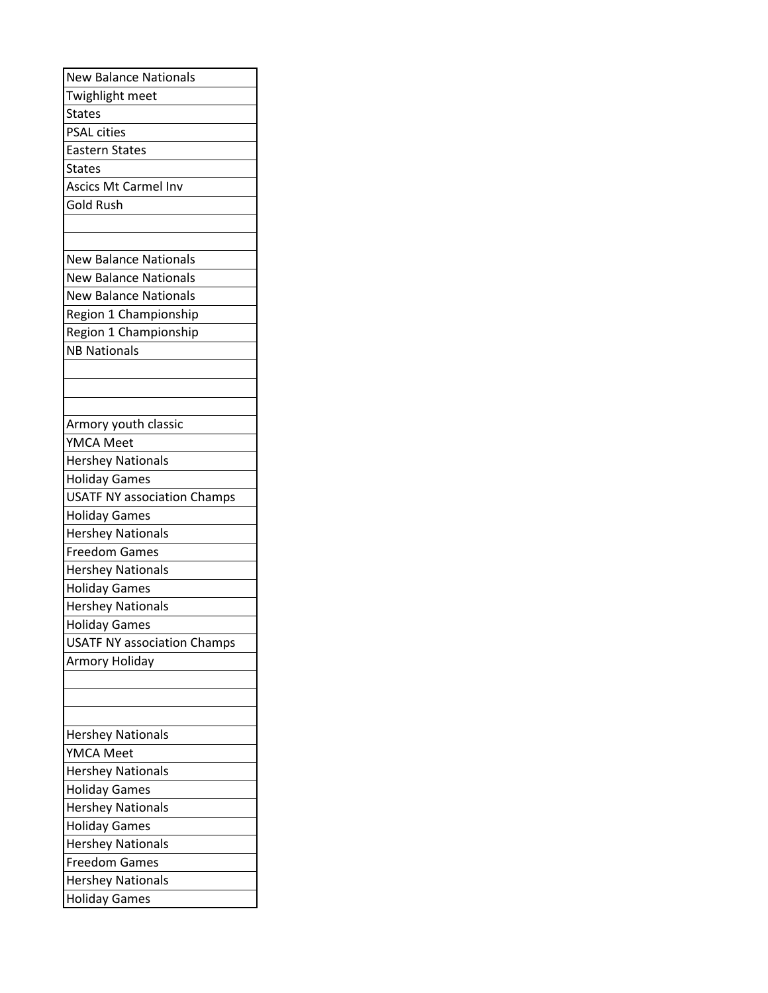| <b>New Balance Nationals</b>       |
|------------------------------------|
| Twighlight meet                    |
| <b>States</b>                      |
| <b>PSAL cities</b>                 |
| <b>Eastern States</b>              |
| <b>States</b>                      |
| <b>Ascics Mt Carmel Inv</b>        |
| <b>Gold Rush</b>                   |
|                                    |
|                                    |
| <b>New Balance Nationals</b>       |
| <b>New Balance Nationals</b>       |
| <b>New Balance Nationals</b>       |
| Region 1 Championship              |
| Region 1 Championship              |
| <b>NB Nationals</b>                |
|                                    |
|                                    |
|                                    |
| Armory youth classic               |
| <b>YMCA Meet</b>                   |
| <b>Hershey Nationals</b>           |
| <b>Holiday Games</b>               |
| <b>USATF NY association Champs</b> |
| <b>Holiday Games</b>               |
| <b>Hershey Nationals</b>           |
| <b>Freedom Games</b>               |
| <b>Hershey Nationals</b>           |
| <b>Holiday Games</b>               |
| <b>Hershey Nationals</b>           |
| <b>Holiday Games</b>               |
| <b>USATF NY association Champs</b> |
| Armory Holiday                     |
|                                    |
|                                    |
|                                    |
| <b>Hershey Nationals</b>           |
| <b>YMCA Meet</b>                   |
| <b>Hershey Nationals</b>           |
| <b>Holiday Games</b>               |
| <b>Hershey Nationals</b>           |
| <b>Holiday Games</b>               |
| <b>Hershey Nationals</b>           |
| <b>Freedom Games</b>               |
| <b>Hershey Nationals</b>           |
| <b>Holiday Games</b>               |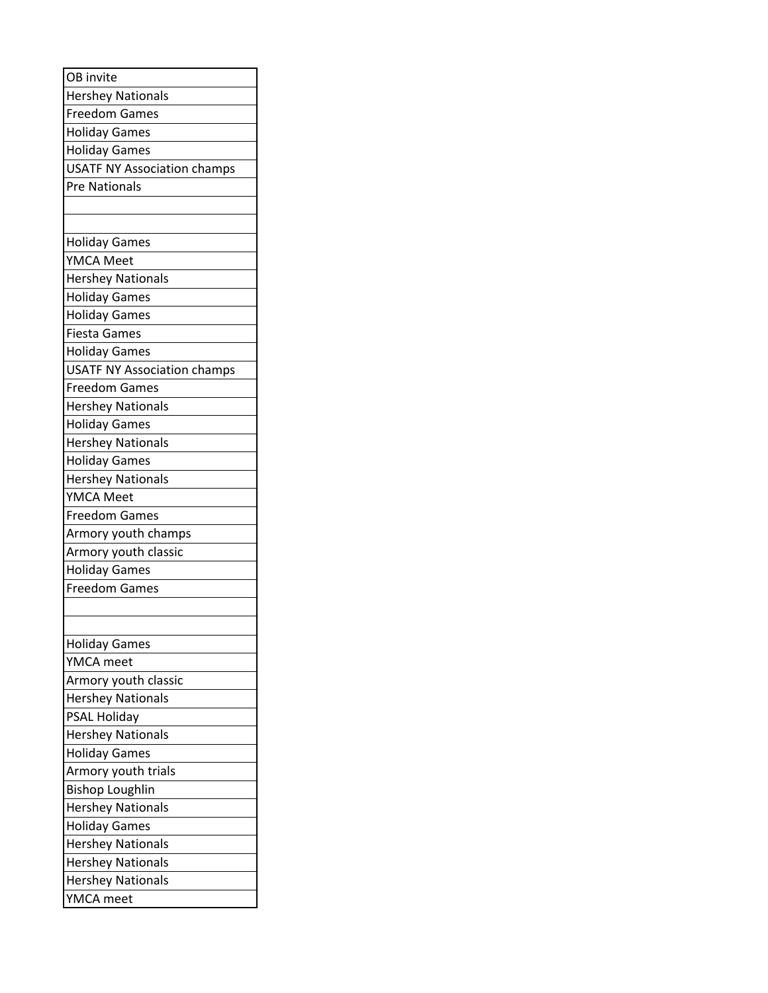| OB invite                          |
|------------------------------------|
| <b>Hershey Nationals</b>           |
| <b>Freedom Games</b>               |
| <b>Holiday Games</b>               |
| <b>Holiday Games</b>               |
| <b>USATF NY Association champs</b> |
| <b>Pre Nationals</b>               |
|                                    |
|                                    |
| <b>Holiday Games</b>               |
| <b>YMCA Meet</b>                   |
| <b>Hershey Nationals</b>           |
| <b>Holiday Games</b>               |
| <b>Holiday Games</b>               |
| <b>Fiesta Games</b>                |
| <b>Holiday Games</b>               |
| <b>USATF NY Association champs</b> |
| <b>Freedom Games</b>               |
| <b>Hershey Nationals</b>           |
| <b>Holiday Games</b>               |
| <b>Hershey Nationals</b>           |
| <b>Holiday Games</b>               |
| <b>Hershey Nationals</b>           |
| <b>YMCA Meet</b>                   |
| <b>Freedom Games</b>               |
| Armory youth champs                |
| Armory youth classic               |
| <b>Holiday Games</b>               |
| <b>Freedom Games</b>               |
|                                    |
|                                    |
| <b>Holiday Games</b>               |
| YMCA meet                          |
| Armory youth classic               |
| <b>Hershey Nationals</b>           |
| <b>PSAL Holiday</b>                |
| <b>Hershey Nationals</b>           |
| <b>Holiday Games</b>               |
| Armory youth trials                |
| <b>Bishop Loughlin</b>             |
| <b>Hershey Nationals</b>           |
| <b>Holiday Games</b>               |
| <b>Hershey Nationals</b>           |
| <b>Hershey Nationals</b>           |
| <b>Hershey Nationals</b>           |
| YMCA meet                          |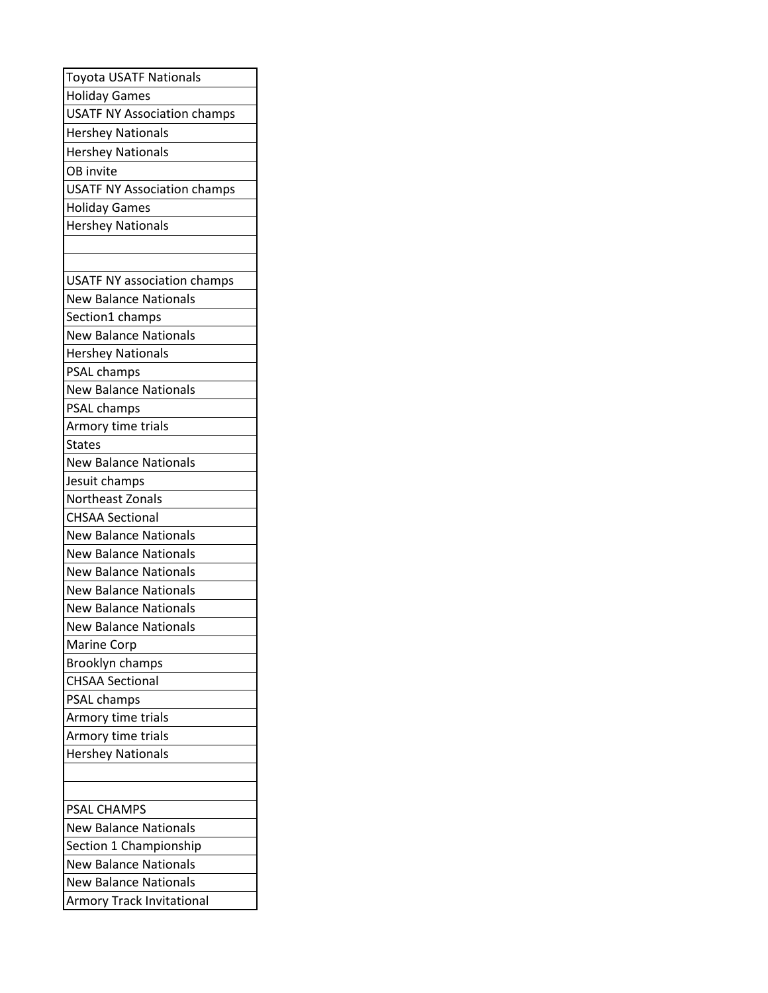| <b>Toyota USATF Nationals</b>      |
|------------------------------------|
| <b>Holiday Games</b>               |
| <b>USATF NY Association champs</b> |
| <b>Hershey Nationals</b>           |
| <b>Hershey Nationals</b>           |
| OB invite                          |
| <b>USATF NY Association champs</b> |
| <b>Holiday Games</b>               |
| <b>Hershey Nationals</b>           |
|                                    |
|                                    |
| <b>USATF NY association champs</b> |
| <b>New Balance Nationals</b>       |
| Section1 champs                    |
| <b>New Balance Nationals</b>       |
| <b>Hershey Nationals</b>           |
| PSAL champs                        |
| <b>New Balance Nationals</b>       |
| PSAL champs                        |
| Armory time trials                 |
| <b>States</b>                      |
| <b>New Balance Nationals</b>       |
| Jesuit champs                      |
| Northeast Zonals                   |
| <b>CHSAA Sectional</b>             |
| <b>New Balance Nationals</b>       |
| <b>New Balance Nationals</b>       |
| <b>New Balance Nationals</b>       |
| <b>New Balance Nationals</b>       |
| <b>New Balance Nationals</b>       |
| <b>New Balance Nationals</b>       |
| <b>Marine Corp</b>                 |
| Brooklyn champs                    |
| <b>CHSAA Sectional</b>             |
| PSAL champs                        |
| Armory time trials                 |
| Armory time trials                 |
| <b>Hershey Nationals</b>           |
|                                    |
|                                    |
| <b>PSAL CHAMPS</b>                 |
| <b>New Balance Nationals</b>       |
| Section 1 Championship             |
| <b>New Balance Nationals</b>       |
| <b>New Balance Nationals</b>       |
| <b>Armory Track Invitational</b>   |